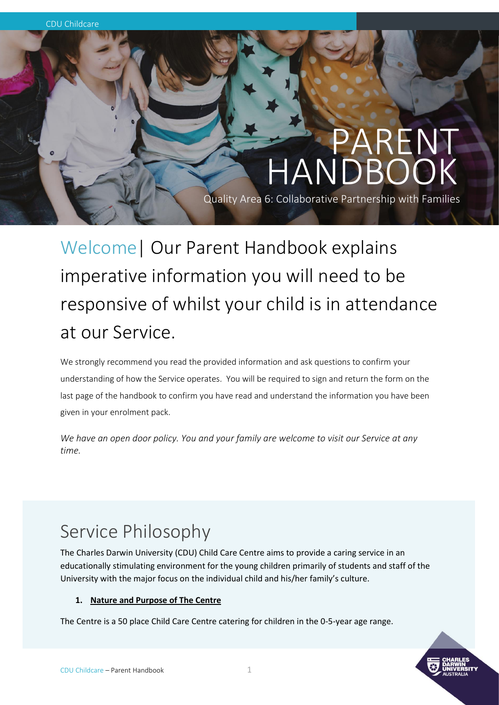# PARENT HANDBOOK

Quality Area 6: Collaborative Partnership with Families

Welcome| Our Parent Handbook explains imperative information you will need to be responsive of whilst your child is in attendance at our Service.

We strongly recommend you read the provided information and ask questions to confirm your understanding of how the Service operates. You will be required to sign and return the form on the last page of the handbook to confirm you have read and understand the information you have been given in your enrolment pack.

*We have an open door policy. You and your family are welcome to visit our Service at any time.*

# Service Philosophy

The Charles Darwin University (CDU) Child Care Centre aims to provide a caring service in an educationally stimulating environment for the young children primarily of students and staff of the University with the major focus on the individual child and his/her family's culture.

#### **1. Nature and Purpose of The Centre**

The Centre is a 50 place Child Care Centre catering for children in the 0-5-year age range.

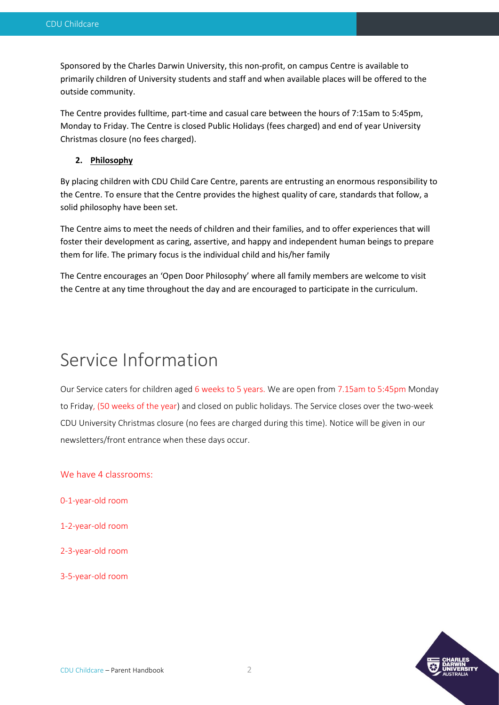Sponsored by the Charles Darwin University, this non-profit, on campus Centre is available to primarily children of University students and staff and when available places will be offered to the outside community.

The Centre provides fulltime, part-time and casual care between the hours of 7:15am to 5:45pm, Monday to Friday. The Centre is closed Public Holidays (fees charged) and end of year University Christmas closure (no fees charged).

#### **2. Philosophy**

By placing children with CDU Child Care Centre, parents are entrusting an enormous responsibility to the Centre. To ensure that the Centre provides the highest quality of care, standards that follow, a solid philosophy have been set.

The Centre aims to meet the needs of children and their families, and to offer experiences that will foster their development as caring, assertive, and happy and independent human beings to prepare them for life. The primary focus is the individual child and his/her family

The Centre encourages an 'Open Door Philosophy' where all family members are welcome to visit the Centre at any time throughout the day and are encouraged to participate in the curriculum.

#### Service Information

Our Service caters for children aged 6 weeks to 5 years. We are open from 7.15am to 5:45pm Monday to Friday, (50 weeks of the year) and closed on public holidays. The Service closes over the two-week CDU University Christmas closure (no fees are charged during this time). Notice will be given in our newsletters/front entrance when these days occur.

We have 4 classrooms:

- 0-1-year-old room
- 1-2-year-old room
- 2-3-year-old room
- 3-5-year-old room

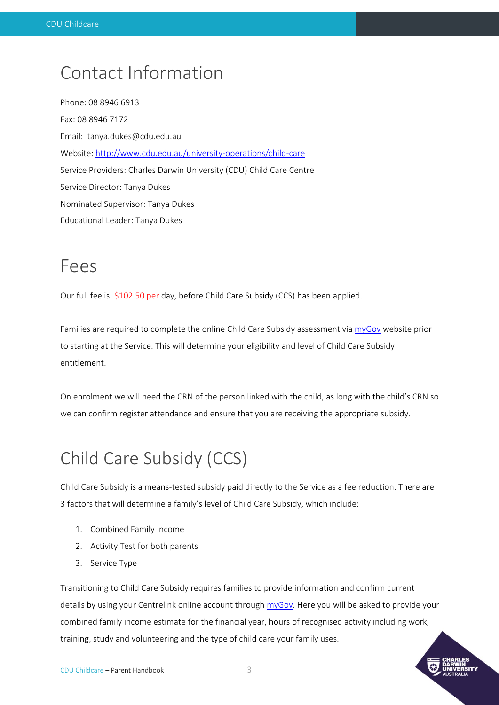### Contact Information

Phone: 08 8946 6913 Fax: 08 8946 7172 Email: tanya.dukes@cdu.edu.au Website:<http://www.cdu.edu.au/university-operations/child-care> Service Providers: Charles Darwin University (CDU) Child Care Centre Service Director: Tanya Dukes Nominated Supervisor: Tanya Dukes Educational Leader: Tanya Dukes

### Fees

Our full fee is: \$102.50 per day, before Child Care Subsidy (CCS) has been applied.

Families are required to complete the online Child Care Subsidy assessment via [myGov](https://my.gov.au/LoginServices/main/login?execution=e2s1) website prior to starting at the Service. This will determine your eligibility and level of Child Care Subsidy entitlement.

On enrolment we will need the CRN of the person linked with the child, as long with the child's CRN so we can confirm register attendance and ensure that you are receiving the appropriate subsidy.

# Child Care Subsidy (CCS)

Child Care Subsidy is a means-tested subsidy paid directly to the Service as a fee reduction. There are 3 factors that will determine a family's level of Child Care Subsidy, which include:

- 1. Combined Family Income
- 2. Activity Test for both parents
- 3. Service Type

Transitioning to Child Care Subsidy requires families to provide information and confirm current details by using your Centrelink online account through [myGov.](https://my.gov.au/LoginServices/main/login?execution=e2s1) Here you will be asked to provide your combined family income estimate for the financial year, hours of recognised activity including work, training, study and volunteering and the type of child care your family uses.

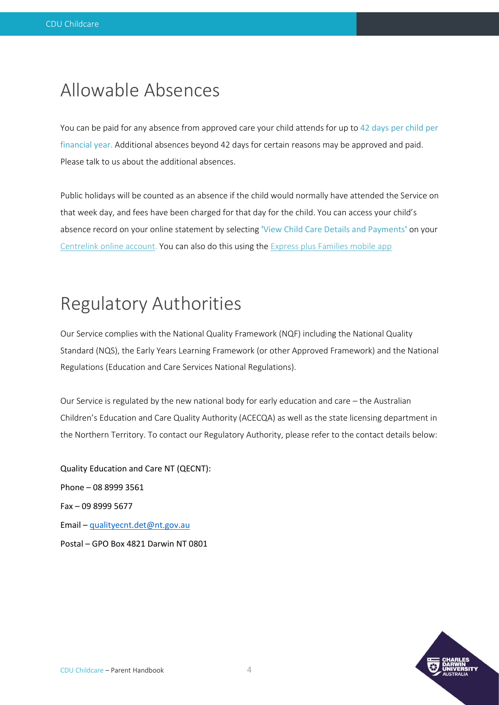### Allowable Absences

You can be paid for any absence from approved care your child attends for up to 42 days per child per financial year. Additional absences beyond 42 days for certain reasons may be approved and paid. Please talk to us about the additional absences.

Public holidays will be counted as an absence if the child would normally have attended the Service on that week day, and fees have been charged for that day for the child. You can access your child's absence record on your online statement by selecting **'**View Child Care Details and Payments**'** on your [Centrelink online account.](http://www.humanservices.gov.au/customer/subjects/self-service) You can also do this using the [Express plus Families mobile app](http://www.humanservices.gov.au/customer/services/express-plus-mobile-apps)

### Regulatory Authorities

Our Service complies with the National Quality Framework (NQF) including the National Quality Standard (NQS), the Early Years Learning Framework (or other Approved Framework) and the National Regulations (Education and Care Services National Regulations).

Our Service is regulated by the new national body for early education and care – the Australian Children's Education and Care Quality Authority (ACECQA) as well as the state licensing department in the Northern Territory. To contact our Regulatory Authority, please refer to the contact details below:

Quality Education and Care NT (QECNT): Phone – 08 8999 3561 Fax – 09 8999 5677 Email – [qualityecnt.det@nt.gov.au](mailto:qualityecnt.det@nt.gov.au) Postal – GPO Box 4821 Darwin NT 0801

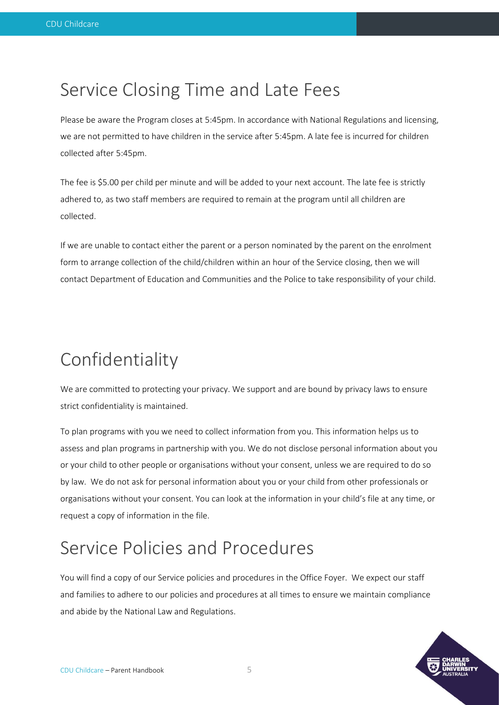### Service Closing Time and Late Fees

Please be aware the Program closes at 5:45pm. In accordance with National Regulations and licensing, we are not permitted to have children in the service after 5:45pm. A late fee is incurred for children collected after 5:45pm.

The fee is \$5.00 per child per minute and will be added to your next account. The late fee is strictly adhered to, as two staff members are required to remain at the program until all children are collected.

If we are unable to contact either the parent or a person nominated by the parent on the enrolment form to arrange collection of the child/children within an hour of the Service closing, then we will contact Department of Education and Communities and the Police to take responsibility of your child.

# Confidentiality

We are committed to protecting your privacy. We support and are bound by privacy laws to ensure strict confidentiality is maintained.

To plan programs with you we need to collect information from you. This information helps us to assess and plan programs in partnership with you. We do not disclose personal information about you or your child to other people or organisations without your consent, unless we are required to do so by law. We do not ask for personal information about you or your child from other professionals or organisations without your consent. You can look at the information in your child's file at any time, or request a copy of information in the file.

# Service Policies and Procedures

You will find a copy of our Service policies and procedures in the Office Foyer. We expect our staff and families to adhere to our policies and procedures at all times to ensure we maintain compliance and abide by the National Law and Regulations.

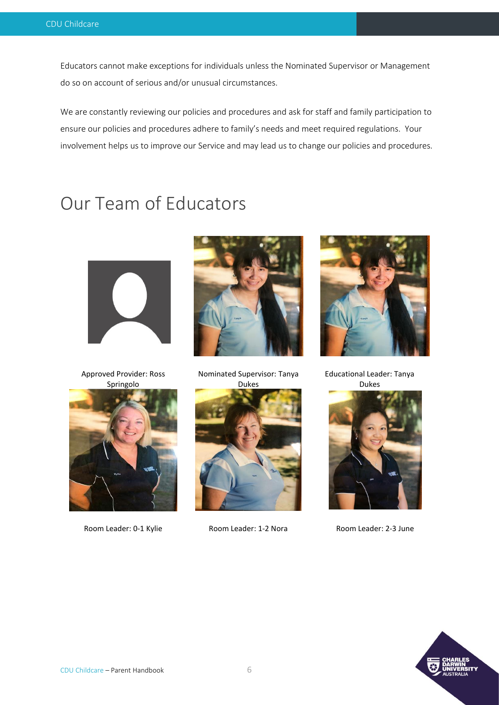Educators cannot make exceptions for individuals unless the Nominated Supervisor or Management do so on account of serious and/or unusual circumstances.

We are constantly reviewing our policies and procedures and ask for staff and family participation to ensure our policies and procedures adhere to family's needs and meet required regulations. Your involvement helps us to improve our Service and may lead us to change our policies and procedures.

# Our Team of Educators



Approved Provider: Ross Springolo





Nominated Supervisor: Tanya Dukes



Room Leader: 0-1 Kylie Room Leader: 1-2 Nora Room Leader: 2-3 June



Educational Leader: Tanya Dukes



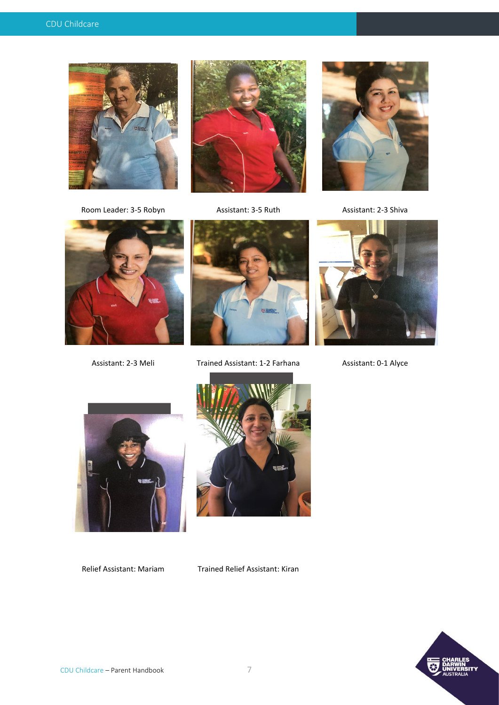





Room Leader: 3-5 Robyn Assistant: 3-5 Ruth Assistant: 2-3 Shiva





Assistant: 2-3 Meli Trained Assistant: 1-2 Farhana Assistant: 0-1 Alyce







Relief Assistant: Mariam Trained Relief Assistant: Kiran

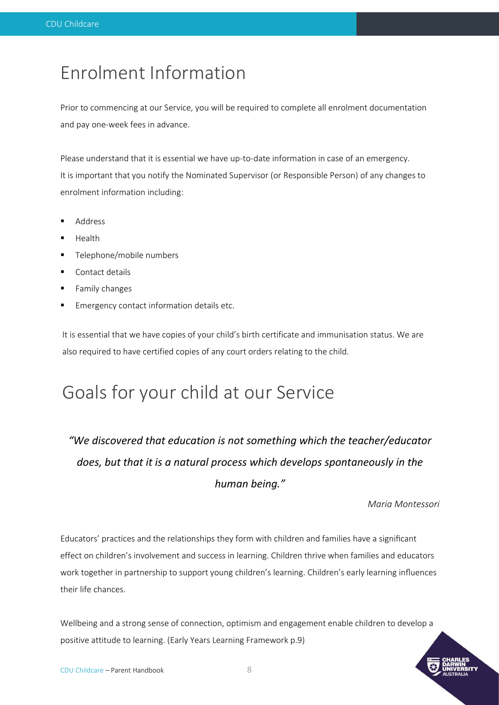### Enrolment Information

Prior to commencing at our Service, you will be required to complete all enrolment documentation and pay one-week fees in advance.

Please understand that it is essential we have up-to-date information in case of an emergency. It is important that you notify the Nominated Supervisor (or Responsible Person) of any changes to enrolment information including:

- **Address**
- **Health**
- Telephone/mobile numbers
- Contact details
- Family changes
- Emergency contact information details etc.

It is essential that we have copies of your child's birth certificate and immunisation status. We are also required to have certified copies of any court orders relating to the child.

### Goals for your child at our Service

#### *"We discovered that education is not something which the teacher/educator does, but that it is a natural process which develops spontaneously in the human being."*

*Maria Montessori*

Educators' practices and the relationships they form with children and families have a significant effect on children's involvement and success in learning. Children thrive when families and educators work together in partnership to support young children's learning. Children's early learning influences their life chances.

Wellbeing and a strong sense of connection, optimism and engagement enable children to develop a positive attitude to learning. (Early Years Learning Framework p.9)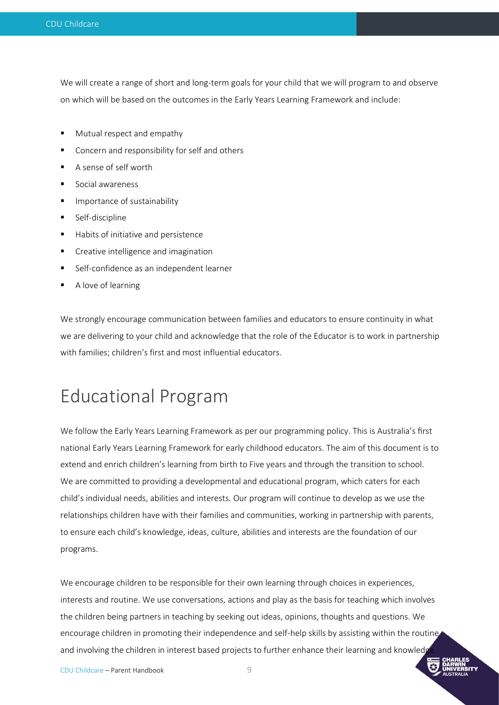We will create a range of short and long-term goals for your child that we will program to and observe on which will be based on the outcomes in the Early Years Learning Framework and include:

- Mutual respect and empathy
- Concern and responsibility for self and others
- A sense of self worth
- Social awareness
- Importance of sustainability
- Self-discipline
- Habits of initiative and persistence
- Creative intelligence and imagination
- Self-confidence as an independent learner
- A love of learning

We strongly encourage communication between families and educators to ensure continuity in what we are delivering to your child and acknowledge that the role of the Educator is to work in partnership with families; children's first and most influential educators.

### Educational Program

We follow the Early Years Learning Framework as per our programming policy. This is Australia's first national Early Years Learning Framework for early childhood educators. The aim of this document is to extend and enrich children's learning from birth to Five years and through the transition to school. We are committed to providing a developmental and educational program, which caters for each child's individual needs, abilities and interests. Our program will continue to develop as we use the relationships children have with their families and communities, working in partnership with parents, to ensure each child's knowledge, ideas, culture, abilities and interests are the foundation of our programs.

We encourage children to be responsible for their own learning through choices in experiences, interests and routine. We use conversations, actions and play as the basis for teaching which involves the children being partners in teaching by seeking out ideas, opinions, thoughts and questions. We encourage children in promoting their independence and self-help skills by assisting within the routine and involving the children in interest based projects to further enhance their learning and knowled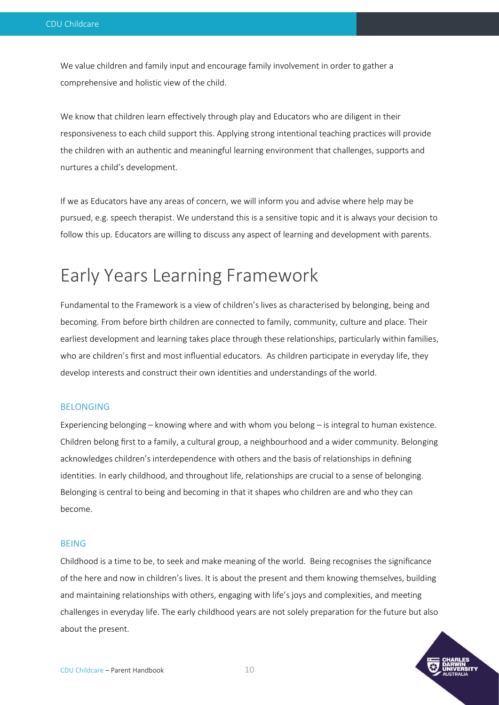We value children and family input and encourage family involvement in order to gather a comprehensive and holistic view of the child.

We know that children learn effectively through play and Educators who are diligent in their responsiveness to each child support this. Applying strong intentional teaching practices will provide the children with an authentic and meaningful learning environment that challenges, supports and nurtures a child's development.

If we as Educators have any areas of concern, we will inform you and advise where help may be pursued, e.g. speech therapist. We understand this is a sensitive topic and it is always your decision to follow this up. Educators are willing to discuss any aspect of learning and development with parents.

### Early Years Learning Framework

Fundamental to the Framework is a view of children's lives as characterised by belonging, being and becoming. From before birth children are connected to family, community, culture and place. Their earliest development and learning takes place through these relationships, particularly within families, who are children's first and most influential educators. As children participate in everyday life, they develop interests and construct their own identities and understandings of the world.

#### BELONGING

Experiencing belonging – knowing where and with whom you belong – is integral to human existence. Children belong first to a family, a cultural group, a neighbourhood and a wider community. Belonging acknowledges children's interdependence with others and the basis of relationships in defining identities. In early childhood, and throughout life, relationships are crucial to a sense of belonging. Belonging is central to being and becoming in that it shapes who children are and who they can become.

#### BEING

Childhood is a time to be, to seek and make meaning of the world. Being recognises the significance of the here and now in children's lives. It is about the present and them knowing themselves, building and maintaining relationships with others, engaging with life's joys and complexities, and meeting challenges in everyday life. The early childhood years are not solely preparation for the future but also about the present.

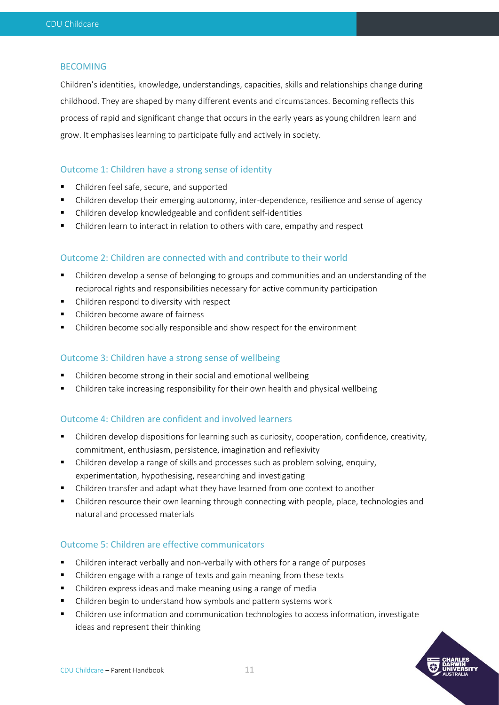#### BECOMING

Children's identities, knowledge, understandings, capacities, skills and relationships change during childhood. They are shaped by many different events and circumstances. Becoming reflects this process of rapid and significant change that occurs in the early years as young children learn and grow. It emphasises learning to participate fully and actively in society.

#### Outcome 1: Children have a strong sense of identity

- Children feel safe, secure, and supported
- Children develop their emerging autonomy, inter-dependence, resilience and sense of agency
- Children develop knowledgeable and confident self-identities
- Children learn to interact in relation to others with care, empathy and respect

#### Outcome 2: Children are connected with and contribute to their world

- Children develop a sense of belonging to groups and communities and an understanding of the reciprocal rights and responsibilities necessary for active community participation
- Children respond to diversity with respect
- Children become aware of fairness
- Children become socially responsible and show respect for the environment

#### Outcome 3: Children have a strong sense of wellbeing

- Children become strong in their social and emotional wellbeing
- Children take increasing responsibility for their own health and physical wellbeing

#### Outcome 4: Children are confident and involved learners

- **•** Children develop dispositions for learning such as curiosity, cooperation, confidence, creativity, commitment, enthusiasm, persistence, imagination and reflexivity
- Children develop a range of skills and processes such as problem solving, enquiry, experimentation, hypothesising, researching and investigating
- Children transfer and adapt what they have learned from one context to another
- Children resource their own learning through connecting with people, place, technologies and natural and processed materials

#### Outcome 5: Children are effective communicators

- Children interact verbally and non-verbally with others for a range of purposes
- Children engage with a range of texts and gain meaning from these texts
- Children express ideas and make meaning using a range of media
- Children begin to understand how symbols and pattern systems work
- Children use information and communication technologies to access information, investigate ideas and represent their thinking

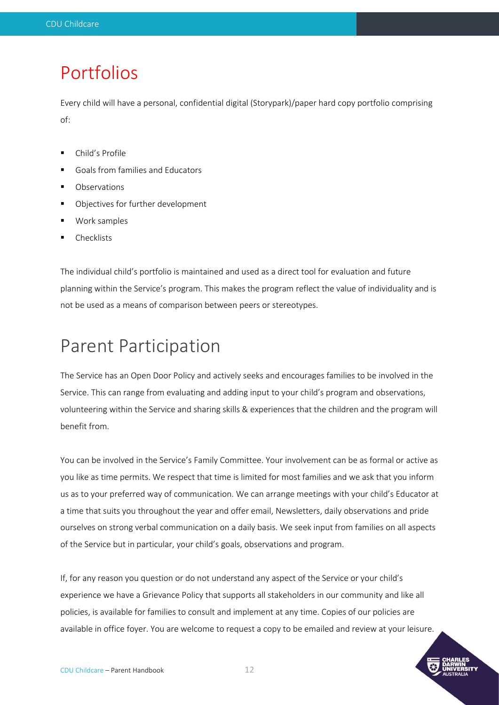# Portfolios

Every child will have a personal, confidential digital (Storypark)/paper hard copy portfolio comprising of:

- Child's Profile
- Goals from families and Educators
- **Observations**
- Objectives for further development
- Work samples
- **Checklists**

The individual child's portfolio is maintained and used as a direct tool for evaluation and future planning within the Service's program. This makes the program reflect the value of individuality and is not be used as a means of comparison between peers or stereotypes.

### Parent Participation

The Service has an Open Door Policy and actively seeks and encourages families to be involved in the Service. This can range from evaluating and adding input to your child's program and observations, volunteering within the Service and sharing skills & experiences that the children and the program will benefit from.

You can be involved in the Service's Family Committee. Your involvement can be as formal or active as you like as time permits. We respect that time is limited for most families and we ask that you inform us as to your preferred way of communication. We can arrange meetings with your child's Educator at a time that suits you throughout the year and offer email, Newsletters, daily observations and pride ourselves on strong verbal communication on a daily basis. We seek input from families on all aspects of the Service but in particular, your child's goals, observations and program.

If, for any reason you question or do not understand any aspect of the Service or your child's experience we have a Grievance Policy that supports all stakeholders in our community and like all policies, is available for families to consult and implement at any time. Copies of our policies are available in office foyer. You are welcome to request a copy to be emailed and review at your leisure.

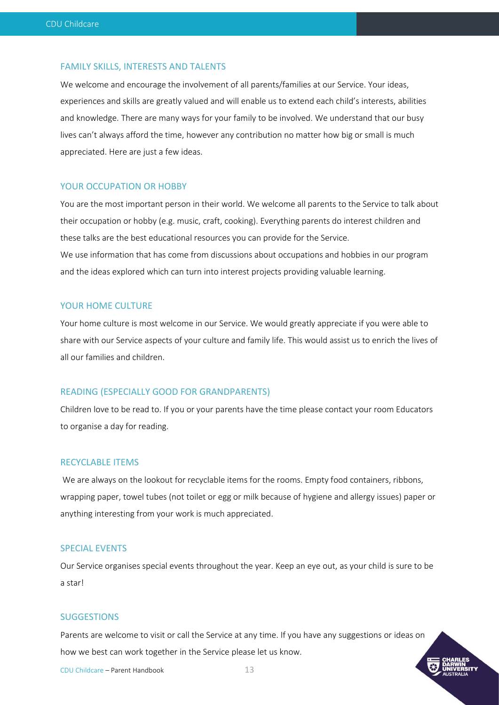#### FAMILY SKILLS, INTERESTS AND TALENTS

We welcome and encourage the involvement of all parents/families at our Service. Your ideas, experiences and skills are greatly valued and will enable us to extend each child's interests, abilities and knowledge. There are many ways for your family to be involved. We understand that our busy lives can't always afford the time, however any contribution no matter how big or small is much appreciated. Here are just a few ideas.

#### YOUR OCCUPATION OR HOBBY

You are the most important person in their world. We welcome all parents to the Service to talk about their occupation or hobby (e.g. music, craft, cooking). Everything parents do interest children and these talks are the best educational resources you can provide for the Service. We use information that has come from discussions about occupations and hobbies in our program and the ideas explored which can turn into interest projects providing valuable learning.

#### YOUR HOME CULTURE

Your home culture is most welcome in our Service. We would greatly appreciate if you were able to share with our Service aspects of your culture and family life. This would assist us to enrich the lives of all our families and children.

#### READING (ESPECIALLY GOOD FOR GRANDPARENTS)

Children love to be read to. If you or your parents have the time please contact your room Educators to organise a day for reading.

#### RECYCLABLE ITEMS

We are always on the lookout for recyclable items for the rooms. Empty food containers, ribbons, wrapping paper, towel tubes (not toilet or egg or milk because of hygiene and allergy issues) paper or anything interesting from your work is much appreciated.

#### SPECIAL EVENTS

Our Service organises special events throughout the year. Keep an eye out, as your child is sure to be a star!

#### **SUGGESTIONS**

Parents are welcome to visit or call the Service at any time. If you have any suggestions or ideas on how we best can work together in the Service please let us know.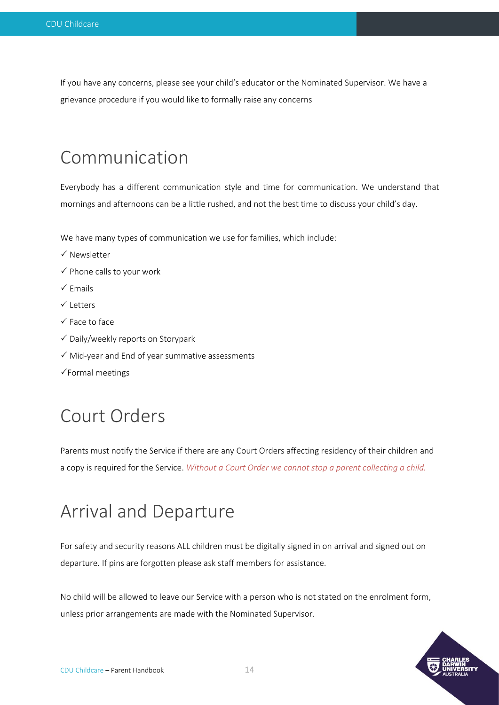If you have any concerns, please see your child's educator or the Nominated Supervisor. We have a grievance procedure if you would like to formally raise any concerns

### Communication

Everybody has a different communication style and time for communication. We understand that mornings and afternoons can be a little rushed, and not the best time to discuss your child's day.

We have many types of communication we use for families, which include:

- Newsletter
- $\checkmark$  Phone calls to your work
- $\checkmark$  Emails
- $\checkmark$  Letters
- $\checkmark$  Face to face
- $\checkmark$  Daily/weekly reports on Storypark
- $\checkmark$  Mid-year and End of year summative assessments
- $\checkmark$  Formal meetings

### Court Orders

Parents must notify the Service if there are any Court Orders affecting residency of their children and a copy is required for the Service. *Without a Court Order we cannot stop a parent collecting a child.*

### Arrival and Departure

For safety and security reasons ALL children must be digitally signed in on arrival and signed out on departure. If pins are forgotten please ask staff members for assistance.

No child will be allowed to leave our Service with a person who is not stated on the enrolment form, unless prior arrangements are made with the Nominated Supervisor.

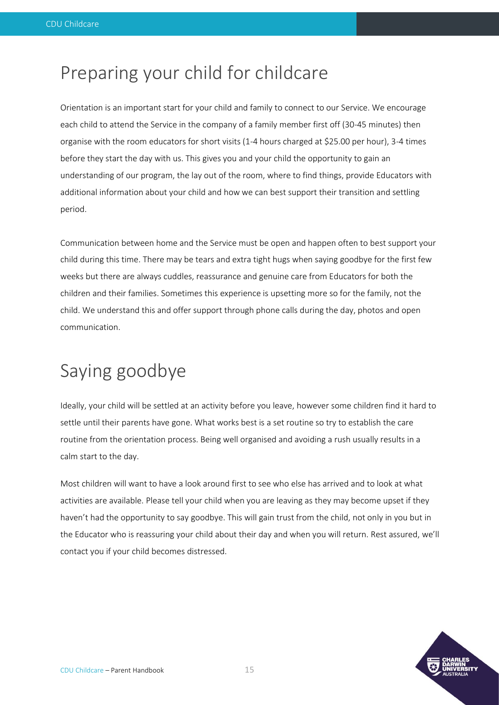### Preparing your child for childcare

Orientation is an important start for your child and family to connect to our Service. We encourage each child to attend the Service in the company of a family member first off (30-45 minutes) then organise with the room educators for short visits (1-4 hours charged at \$25.00 per hour), 3-4 times before they start the day with us. This gives you and your child the opportunity to gain an understanding of our program, the lay out of the room, where to find things, provide Educators with additional information about your child and how we can best support their transition and settling period.

Communication between home and the Service must be open and happen often to best support your child during this time. There may be tears and extra tight hugs when saying goodbye for the first few weeks but there are always cuddles, reassurance and genuine care from Educators for both the children and their families. Sometimes this experience is upsetting more so for the family, not the child. We understand this and offer support through phone calls during the day, photos and open communication.

# Saying goodbye

Ideally, your child will be settled at an activity before you leave, however some children find it hard to settle until their parents have gone. What works best is a set routine so try to establish the care routine from the orientation process. Being well organised and avoiding a rush usually results in a calm start to the day.

Most children will want to have a look around first to see who else has arrived and to look at what activities are available. Please tell your child when you are leaving as they may become upset if they haven't had the opportunity to say goodbye. This will gain trust from the child, not only in you but in the Educator who is reassuring your child about their day and when you will return. Rest assured, we'll contact you if your child becomes distressed.

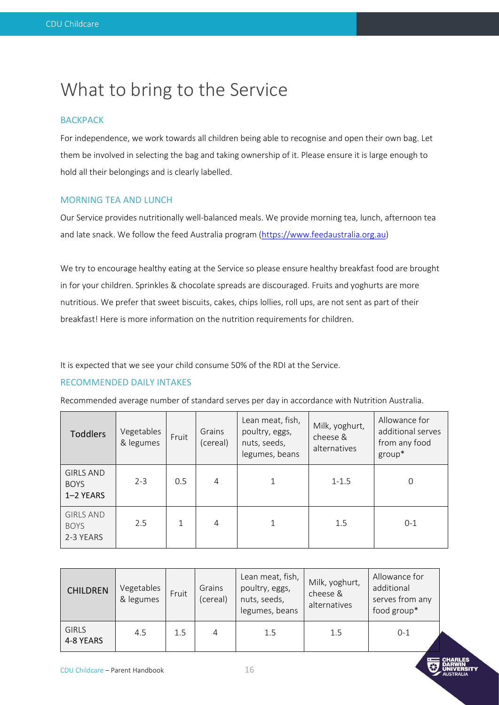### What to bring to the Service

#### **BACKPACK**

For independence, we work towards all children being able to recognise and open their own bag. Let them be involved in selecting the bag and taking ownership of it. Please ensure it is large enough to hold all their belongings and is clearly labelled.

#### MORNING TEA AND LUNCH

Our Service provides nutritionally well-balanced meals. We provide morning tea, lunch, afternoon tea and late snack. We follow the feed Australia program [\(https://www.feedaustralia.org.au\)](https://www.feedaustralia.org.au/)

We try to encourage healthy eating at the Service so please ensure healthy breakfast food are brought in for your children. Sprinkles & chocolate spreads are discouraged. Fruits and yoghurts are more nutritious. We prefer that sweet biscuits, cakes, chips lollies, roll ups, are not sent as part of their breakfast! Here is more information on the nutrition requirements for children.

It is expected that we see your child consume 50% of the RDI at the Service.

#### RECOMMENDED DAILY INTAKES

Recommended average number of standard serves per day in accordance with Nutrition Australia.

| <b>Toddlers</b>                              | Vegetables<br>& legumes | Fruit | Grains<br>(cereal) | Lean meat, fish,<br>poultry, eggs,<br>nuts, seeds,<br>legumes, beans | Milk, yoghurt,<br>cheese &<br>alternatives | Allowance for<br>additional serves<br>from any food<br>$group^*$ |
|----------------------------------------------|-------------------------|-------|--------------------|----------------------------------------------------------------------|--------------------------------------------|------------------------------------------------------------------|
| <b>GIRLS AND</b><br><b>BOYS</b><br>1-2 YEARS | $2 - 3$                 | 0.5   | 4                  |                                                                      | $1 - 1.5$                                  | $\Omega$                                                         |
| <b>GIRLS AND</b><br><b>BOYS</b><br>2-3 YEARS | 2.5                     | 1     | 4                  |                                                                      | 1.5                                        | $0 - 1$                                                          |

| <b>CHILDREN</b>           | Vegetables<br>& legumes | Fruit | Grains<br>(cereal) | Lean meat, fish,<br>poultry, eggs,<br>nuts, seeds,<br>legumes, beans | Milk, yoghurt,<br>cheese &<br>alternatives | Allowance for<br>additional<br>serves from any<br>food group* |
|---------------------------|-------------------------|-------|--------------------|----------------------------------------------------------------------|--------------------------------------------|---------------------------------------------------------------|
| <b>GIRLS</b><br>4-8 YEARS | 4.5                     | 1.5   | 4                  | 1.5                                                                  | 1.5                                        | $0 - 1$                                                       |



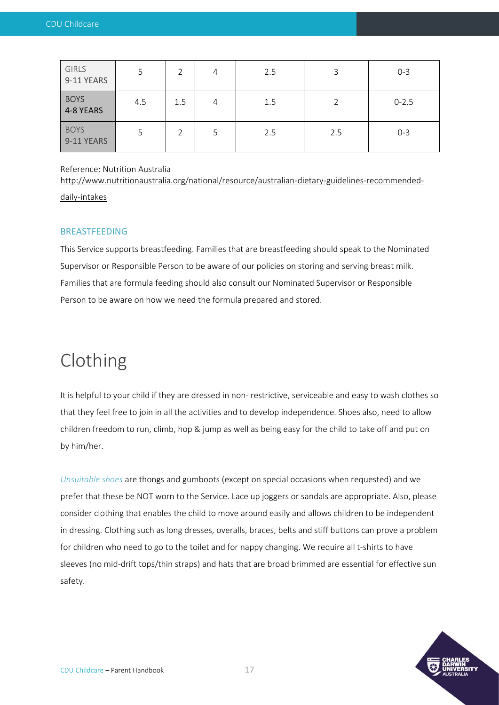| <b>GIRLS</b><br>9-11 YEARS | 5   |     | 4 | 2.5 | 3   | $0 - 3$   |
|----------------------------|-----|-----|---|-----|-----|-----------|
| <b>BOYS</b><br>4-8 YEARS   | 4.5 | 1.5 | 4 | 1.5 |     | $0 - 2.5$ |
| <b>BOYS</b><br>9-11 YEARS  | 5   |     | 5 | 2.5 | 2.5 | $0 - 3$   |

Reference: Nutrition Australia [http://www.nutritionaustralia.org/national/resource/australian-dietary-guidelines-recommended](http://www.nutritionaustralia.org/national/resource/australian-dietary-guidelines-recommended-daily-intakes)[daily-intakes](http://www.nutritionaustralia.org/national/resource/australian-dietary-guidelines-recommended-daily-intakes)

#### BREASTFEEDING

This Service supports breastfeeding. Families that are breastfeeding should speak to the Nominated Supervisor or Responsible Person to be aware of our policies on storing and serving breast milk. Families that are formula feeding should also consult our Nominated Supervisor or Responsible Person to be aware on how we need the formula prepared and stored.

### Clothing

It is helpful to your child if they are dressed in non- restrictive, serviceable and easy to wash clothes so that they feel free to join in all the activities and to develop independence. Shoes also, need to allow children freedom to run, climb, hop & jump as well as being easy for the child to take off and put on by him/her.

*Unsuitable shoes* are thongs and gumboots (except on special occasions when requested) and we prefer that these be NOT worn to the Service. Lace up joggers or sandals are appropriate. Also, please consider clothing that enables the child to move around easily and allows children to be independent in dressing. Clothing such as long dresses, overalls, braces, belts and stiff buttons can prove a problem for children who need to go to the toilet and for nappy changing. We require all t-shirts to have sleeves (no mid-drift tops/thin straps) and hats that are broad brimmed are essential for effective sun safety.

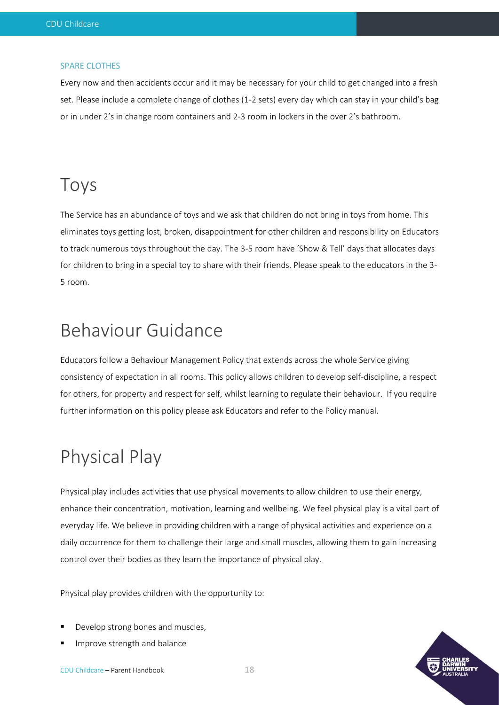#### SPARE CLOTHES

Every now and then accidents occur and it may be necessary for your child to get changed into a fresh set. Please include a complete change of clothes (1-2 sets) every day which can stay in your child's bag or in under 2's in change room containers and 2-3 room in lockers in the over 2's bathroom.

#### Toys

The Service has an abundance of toys and we ask that children do not bring in toys from home. This eliminates toys getting lost, broken, disappointment for other children and responsibility on Educators to track numerous toys throughout the day. The 3-5 room have 'Show & Tell' days that allocates days for children to bring in a special toy to share with their friends. Please speak to the educators in the 3- 5 room.

### Behaviour Guidance

Educators follow a Behaviour Management Policy that extends across the whole Service giving consistency of expectation in all rooms. This policy allows children to develop self-discipline, a respect for others, for property and respect for self, whilst learning to regulate their behaviour. If you require further information on this policy please ask Educators and refer to the Policy manual.

#### Physical Play

Physical play includes activities that use physical movements to allow children to use their energy, enhance their concentration, motivation, learning and wellbeing. We feel physical play is a vital part of everyday life. We believe in providing children with a range of physical activities and experience on a daily occurrence for them to challenge their large and small muscles, allowing them to gain increasing control over their bodies as they learn the importance of physical play.

Physical play provides children with the opportunity to:

- Develop strong bones and muscles,
- Improve strength and balance

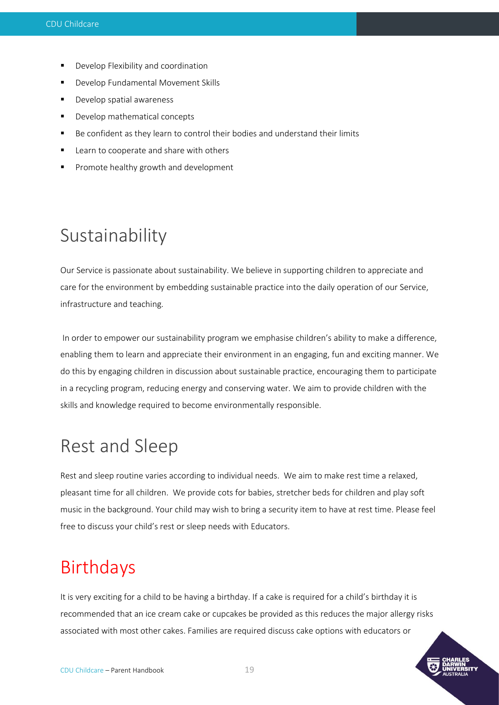- Develop Flexibility and coordination
- Develop Fundamental Movement Skills
- Develop spatial awareness
- Develop mathematical concepts
- Be confident as they learn to control their bodies and understand their limits
- Learn to cooperate and share with others
- Promote healthy growth and development

# Sustainability

Our Service is passionate about sustainability. We believe in supporting children to appreciate and care for the environment by embedding sustainable practice into the daily operation of our Service, infrastructure and teaching.

In order to empower our sustainability program we emphasise children's ability to make a difference, enabling them to learn and appreciate their environment in an engaging, fun and exciting manner. We do this by engaging children in discussion about sustainable practice, encouraging them to participate in a recycling program, reducing energy and conserving water. We aim to provide children with the skills and knowledge required to become environmentally responsible.

# Rest and Sleep

Rest and sleep routine varies according to individual needs. We aim to make rest time a relaxed, pleasant time for all children. We provide cots for babies, stretcher beds for children and play soft music in the background. Your child may wish to bring a security item to have at rest time. Please feel free to discuss your child's rest or sleep needs with Educators.

### Birthdays

It is very exciting for a child to be having a birthday. If a cake is required for a child's birthday it is recommended that an ice cream cake or cupcakes be provided as this reduces the major allergy risks associated with most other cakes. Families are required discuss cake options with educators or

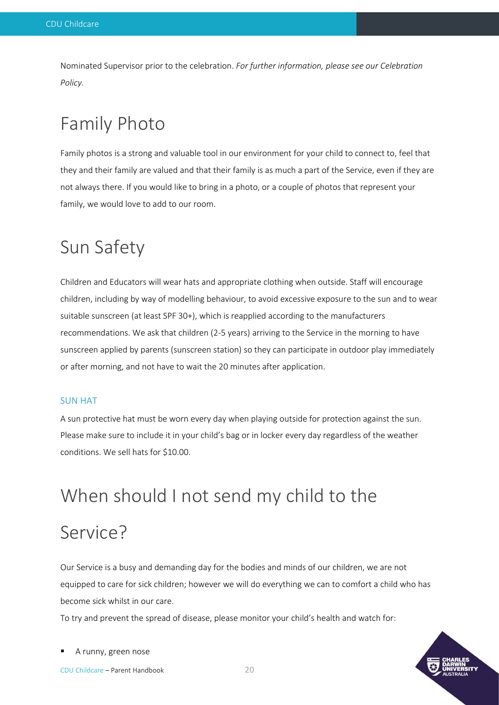Nominated Supervisor prior to the celebration. *For further information, please see our Celebration Policy.*

### Family Photo

Family photos is a strong and valuable tool in our environment for your child to connect to, feel that they and their family are valued and that their family is as much a part of the Service, even if they are not always there. If you would like to bring in a photo, or a couple of photos that represent your family, we would love to add to our room.

### Sun Safety

Children and Educators will wear hats and appropriate clothing when outside. Staff will encourage children, including by way of modelling behaviour, to avoid excessive exposure to the sun and to wear suitable sunscreen (at least SPF 30+), which is reapplied according to the manufacturers recommendations. We ask that children (2-5 years) arriving to the Service in the morning to have sunscreen applied by parents (sunscreen station) so they can participate in outdoor play immediately or after morning, and not have to wait the 20 minutes after application.

#### SUN HAT

A sun protective hat must be worn every day when playing outside for protection against the sun. Please make sure to include it in your child's bag or in locker every day regardless of the weather conditions. We sell hats for \$10.00.

# When should I not send my child to the Service?

Our Service is a busy and demanding day for the bodies and minds of our children, we are not equipped to care for sick children; however we will do everything we can to comfort a child who has become sick whilst in our care.

To try and prevent the spread of disease, please monitor your child's health and watch for:



A runny, green nose

CDU Childcare – Parent Handbook 20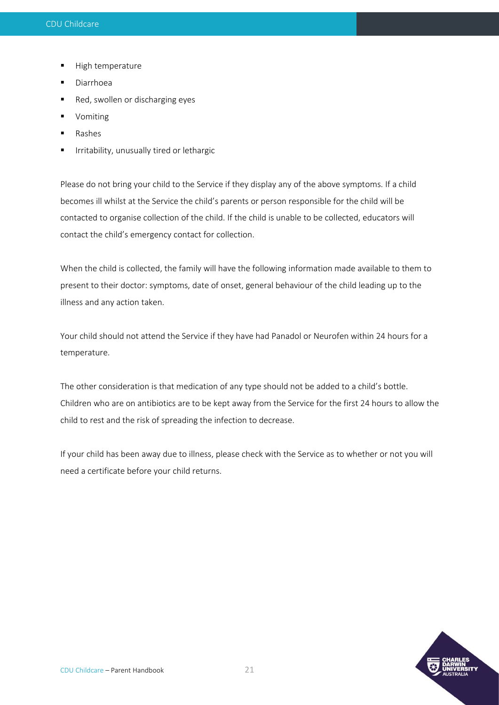- High temperature
- Diarrhoea
- Red, swollen or discharging eyes
- Vomiting
- **Rashes**
- **■** Irritability, unusually tired or lethargic

Please do not bring your child to the Service if they display any of the above symptoms. If a child becomes ill whilst at the Service the child's parents or person responsible for the child will be contacted to organise collection of the child. If the child is unable to be collected, educators will contact the child's emergency contact for collection.

When the child is collected, the family will have the following information made available to them to present to their doctor: symptoms, date of onset, general behaviour of the child leading up to the illness and any action taken.

Your child should not attend the Service if they have had Panadol or Neurofen within 24 hours for a temperature.

The other consideration is that medication of any type should not be added to a child's bottle. Children who are on antibiotics are to be kept away from the Service for the first 24 hours to allow the child to rest and the risk of spreading the infection to decrease.

If your child has been away due to illness, please check with the Service as to whether or not you will need a certificate before your child returns.

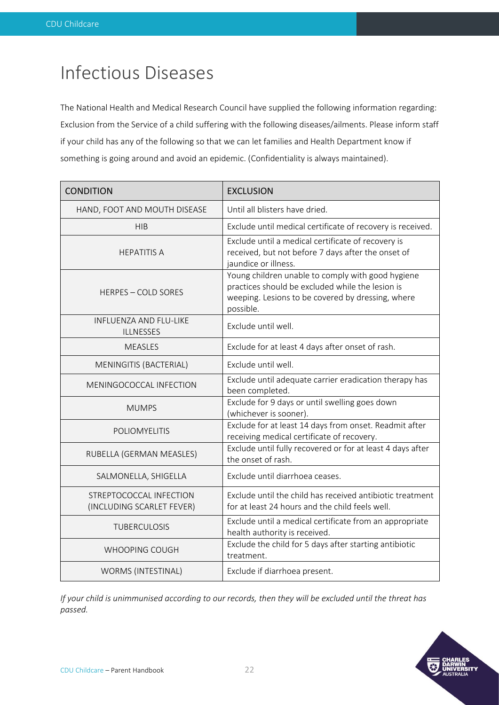### Infectious Diseases

The National Health and Medical Research Council have supplied the following information regarding: Exclusion from the Service of a child suffering with the following diseases/ailments. Please inform staff if your child has any of the following so that we can let families and Health Department know if something is going around and avoid an epidemic. (Confidentiality is always maintained).

| <b>CONDITION</b>                                     | <b>EXCLUSION</b>                                                                                                                                                        |  |  |
|------------------------------------------------------|-------------------------------------------------------------------------------------------------------------------------------------------------------------------------|--|--|
| HAND, FOOT AND MOUTH DISEASE                         | Until all blisters have dried.                                                                                                                                          |  |  |
| <b>HIB</b>                                           | Exclude until medical certificate of recovery is received.                                                                                                              |  |  |
| <b>HEPATITIS A</b>                                   | Exclude until a medical certificate of recovery is<br>received, but not before 7 days after the onset of<br>jaundice or illness.                                        |  |  |
| <b>HERPES - COLD SORES</b>                           | Young children unable to comply with good hygiene<br>practices should be excluded while the lesion is<br>weeping. Lesions to be covered by dressing, where<br>possible. |  |  |
| <b>INFLUENZA AND FLU-LIKE</b><br><b>ILLNESSES</b>    | Exclude until well.                                                                                                                                                     |  |  |
| <b>MEASLES</b>                                       | Exclude for at least 4 days after onset of rash.                                                                                                                        |  |  |
| MENINGITIS (BACTERIAL)                               | Exclude until well.                                                                                                                                                     |  |  |
| MENINGOCOCCAL INFECTION                              | Exclude until adequate carrier eradication therapy has<br>been completed.                                                                                               |  |  |
| <b>MUMPS</b>                                         | Exclude for 9 days or until swelling goes down<br>(whichever is sooner).                                                                                                |  |  |
| POLIOMYELITIS                                        | Exclude for at least 14 days from onset. Readmit after<br>receiving medical certificate of recovery.                                                                    |  |  |
| RUBELLA (GERMAN MEASLES)                             | Exclude until fully recovered or for at least 4 days after<br>the onset of rash.                                                                                        |  |  |
| SALMONELLA, SHIGELLA                                 | Exclude until diarrhoea ceases.                                                                                                                                         |  |  |
| STREPTOCOCCAL INFECTION<br>(INCLUDING SCARLET FEVER) | Exclude until the child has received antibiotic treatment<br>for at least 24 hours and the child feels well.                                                            |  |  |
| <b>TUBERCULOSIS</b>                                  | Exclude until a medical certificate from an appropriate<br>health authority is received.                                                                                |  |  |
| <b>WHOOPING COUGH</b>                                | Exclude the child for 5 days after starting antibiotic<br>treatment.                                                                                                    |  |  |
| WORMS (INTESTINAL)                                   | Exclude if diarrhoea present.                                                                                                                                           |  |  |

*If your child is unimmunised according to our records, then they will be excluded until the threat has passed.*

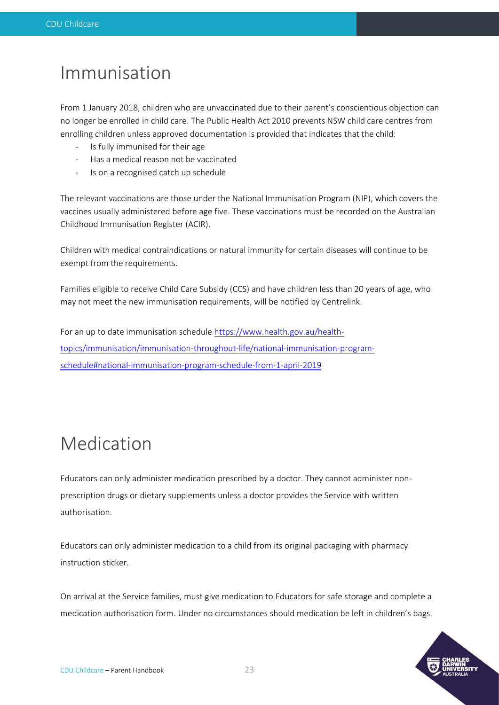### Immunisation

From 1 January 2018, children who are unvaccinated due to their parent's conscientious objection can no longer be enrolled in child care. The Public Health Act 2010 prevents NSW child care centres from enrolling children unless approved documentation is provided that indicates that the child:

- Is fully immunised for their age
- Has a medical reason not be vaccinated
- Is on a recognised catch up schedule

The relevant vaccinations are those under the National Immunisation Program (NIP), which covers the vaccines usually administered before age five. These vaccinations must be recorded on the Australian Childhood Immunisation Register (ACIR).

Children with medical contraindications or natural immunity for certain diseases will continue to be exempt from the requirements.

Families eligible to receive Child Care Subsidy (CCS) and have children less than 20 years of age, who may not meet the new immunisation requirements, will be notified by Centrelink.

For an up to date immunisation schedule [https://www.health.gov.au/health](https://www.health.gov.au/health-topics/immunisation/immunisation-throughout-life/national-immunisation-program-schedule#national-immunisation-program-schedule-from-1-april-2019)[topics/immunisation/immunisation-throughout-life/national-immunisation-program](https://www.health.gov.au/health-topics/immunisation/immunisation-throughout-life/national-immunisation-program-schedule#national-immunisation-program-schedule-from-1-april-2019)[schedule#national-immunisation-program-schedule-from-1-april-2019](https://www.health.gov.au/health-topics/immunisation/immunisation-throughout-life/national-immunisation-program-schedule#national-immunisation-program-schedule-from-1-april-2019)

### Medication

Educators can only administer medication prescribed by a doctor. They cannot administer nonprescription drugs or dietary supplements unless a doctor provides the Service with written authorisation.

Educators can only administer medication to a child from its original packaging with pharmacy instruction sticker.

On arrival at the Service families, must give medication to Educators for safe storage and complete a medication authorisation form. Under no circumstances should medication be left in children's bags.

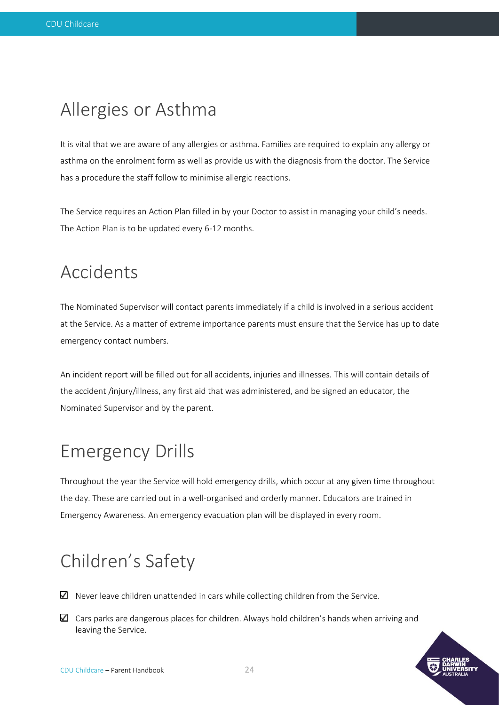### Allergies or Asthma

It is vital that we are aware of any allergies or asthma. Families are required to explain any allergy or asthma on the enrolment form as well as provide us with the diagnosis from the doctor. The Service has a procedure the staff follow to minimise allergic reactions.

The Service requires an Action Plan filled in by your Doctor to assist in managing your child's needs. The Action Plan is to be updated every 6-12 months.

#### Accidents

The Nominated Supervisor will contact parents immediately if a child is involved in a serious accident at the Service. As a matter of extreme importance parents must ensure that the Service has up to date emergency contact numbers.

An incident report will be filled out for all accidents, injuries and illnesses. This will contain details of the accident /injury/illness, any first aid that was administered, and be signed an educator, the Nominated Supervisor and by the parent.

### Emergency Drills

Throughout the year the Service will hold emergency drills, which occur at any given time throughout the day. These are carried out in a well-organised and orderly manner. Educators are trained in Emergency Awareness. An emergency evacuation plan will be displayed in every room.

# Children's Safety

- $\Box$  Never leave children unattended in cars while collecting children from the Service.
- $\Box$  Cars parks are dangerous places for children. Always hold children's hands when arriving and leaving the Service.

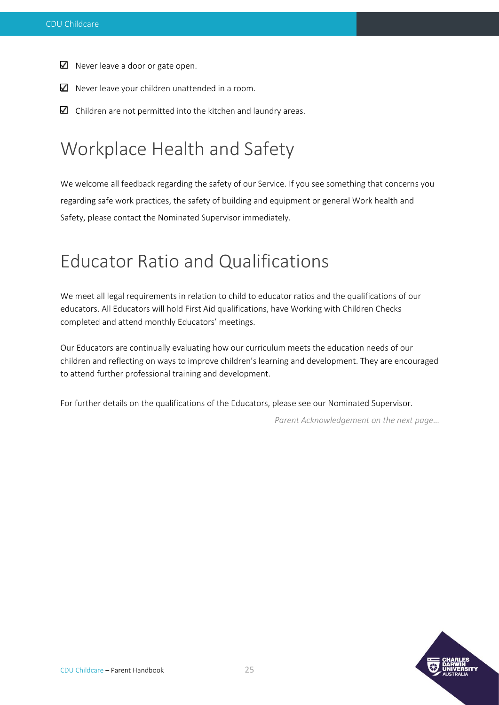- $\blacksquare$  Never leave a door or gate open.
- $\Box$  Never leave your children unattended in a room.
- $\Box$  Children are not permitted into the kitchen and laundry areas.

### Workplace Health and Safety

We welcome all feedback regarding the safety of our Service. If you see something that concerns you regarding safe work practices, the safety of building and equipment or general Work health and Safety, please contact the Nominated Supervisor immediately.

#### Educator Ratio and Qualifications

We meet all legal requirements in relation to child to educator ratios and the qualifications of our educators. All Educators will hold First Aid qualifications, have Working with Children Checks completed and attend monthly Educators' meetings.

Our Educators are continually evaluating how our curriculum meets the education needs of our children and reflecting on ways to improve children's learning and development. They are encouraged to attend further professional training and development.

For further details on the qualifications of the Educators, please see our Nominated Supervisor.

*Parent Acknowledgement on the next page…*